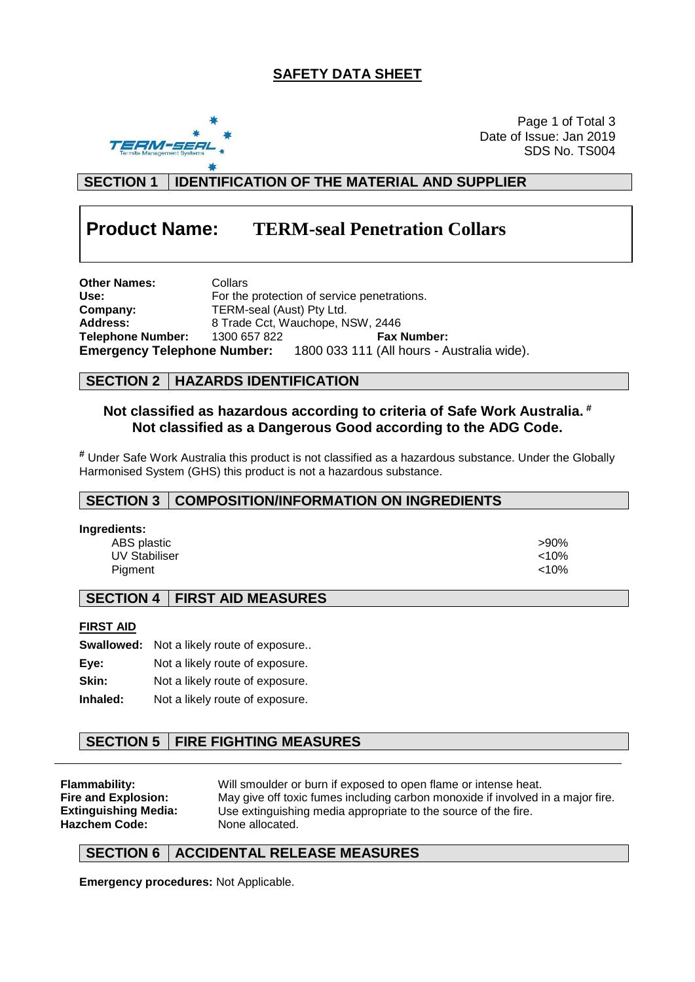## **SAFETY DATA SHEET**



Page 1 of Total 3 Date of Issue: Jan 2019 SDS No. TS004

**SECTION 1 IDENTIFICATION OF THE MATERIAL AND SUPPLIER**

# **Product Name: TERM-seal Penetration Collars**

**Other Names:** Collars<br>
Use: For the For the protection of service penetrations. **Company:** TERM-seal (Aust) Pty Ltd.<br> **Address:** 8 Trade Cct, Wauchope, N **Address:** 8 Trade Cct, Wauchope, NSW, 2446 **Telephone Number:** 1300 657 822 **Fax Number: Emergency Telephone Number:** 1800 033 111 (All hours - Australia wide).

#### **SECTION 2 HAZARDS IDENTIFICATION**

#### **Not classified as hazardous according to criteria of Safe Work Australia. # Not classified as a Dangerous Good according to the ADG Code.**

**#** Under Safe Work Australia this product is not classified as a hazardous substance. Under the Globally Harmonised System (GHS) this product is not a hazardous substance.

#### **SECTION 3 COMPOSITION/INFORMATION ON INGREDIENTS**

| Ingredients:         |       |
|----------------------|-------|
| ABS plastic          | >90%  |
| <b>UV Stabiliser</b> | < 10% |
| Piament              | < 10% |

#### **SECTION 4 FIRST AID MEASURES**

#### **FIRST AID**

|          | <b>Swallowed:</b> Not a likely route of exposure |
|----------|--------------------------------------------------|
| Eye:     | Not a likely route of exposure.                  |
| Skin:    | Not a likely route of exposure.                  |
| Inhaled: | Not a likely route of exposure.                  |

## **SECTION 5 FIRE FIGHTING MEASURES**

**Hazchem Code:** None allocated.

**Flammability:** Will smoulder or burn if exposed to open flame or intense heat.<br>**Fire and Explosion:** May give off toxic fumes including carbon monoxide if involved i **Fire and Explosion:** May give off toxic fumes including carbon monoxide if involved in a major fire. **Extinguishing Media:** Use extinguishing media appropriate to the source of the fire.

## **SECTION 6 ACCIDENTAL RELEASE MEASURES**

**Emergency procedures:** Not Applicable.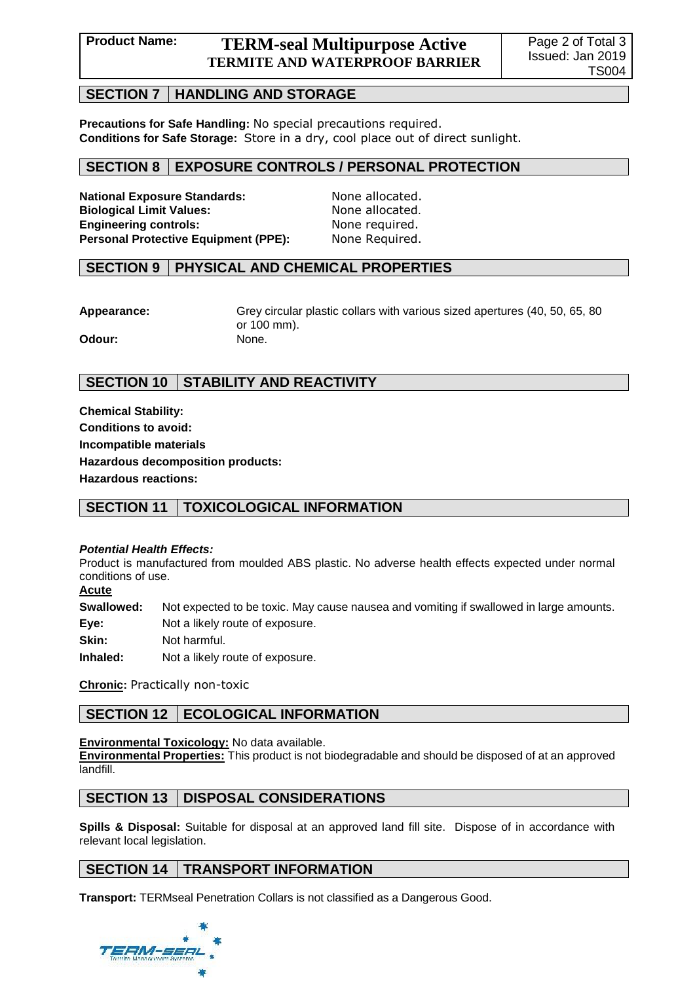## **Product Name: TERM-seal Multipurpose Active TERMITE AND WATERPROOF BARRIER**

#### **SECTION 7 HANDLING AND STORAGE**

**Precautions for Safe Handling:** No special precautions required. **Conditions for Safe Storage:** Store in a dry, cool place out of direct sunlight.

### **SECTION 8 EXPOSURE CONTROLS / PERSONAL PROTECTION**

**National Exposure Standards:** None allocated. **Biological Limit Values:** None allocated. **Engineering controls:** None required. Personal Protective Equipment (PPE): None Required.

#### **SECTION 9 PHYSICAL AND CHEMICAL PROPERTIES**

**Appearance:** Grey circular plastic collars with various sized apertures (40, 50, 65, 80 or 100 mm). **Odour:** None.

## **SECTION 10 STABILITY AND REACTIVITY**

**Chemical Stability: Conditions to avoid: Incompatible materials Hazardous decomposition products: Hazardous reactions:**

## **SECTION 11 TOXICOLOGICAL INFORMATION**

#### *Potential Health Effects:*

Product is manufactured from moulded ABS plastic. No adverse health effects expected under normal conditions of use.

**Acute**

**Swallowed:** Not expected to be toxic. May cause nausea and vomiting if swallowed in large amounts. **Eye:** Not a likely route of exposure. **Skin:** Not harmful.

**Inhaled:** Not a likely route of exposure.

**Chronic:** Practically non-toxic

## **SECTION 12 | ECOLOGICAL INFORMATION**

#### **Environmental Toxicology:** No data available.

**Environmental Properties:** This product is not biodegradable and should be disposed of at an approved landfill.

#### **SECTION 13 DISPOSAL CONSIDERATIONS**

**Spills & Disposal:** Suitable for disposal at an approved land fill site. Dispose of in accordance with relevant local legislation.

## **SECTION 14 TRANSPORT INFORMATION**

**Transport:** TERMseal Penetration Collars is not classified as a Dangerous Good.